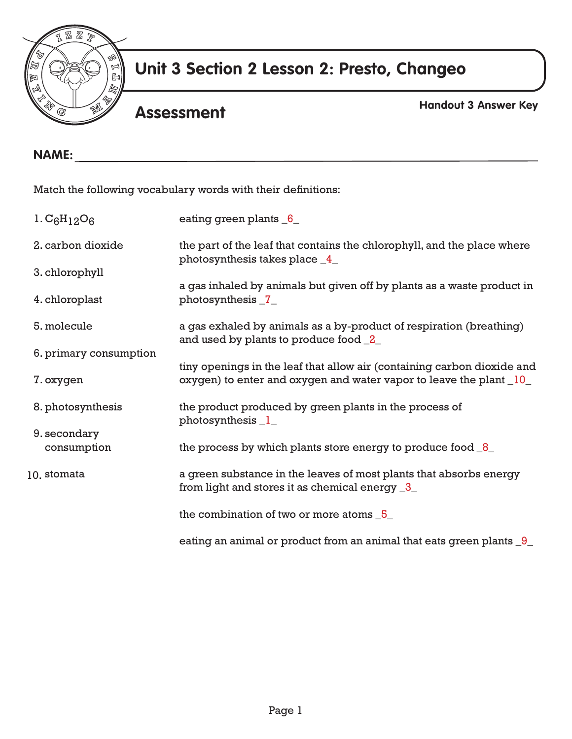

## **Unit 3 Section 2 Lesson 2: Presto, Changeo**

## **Assessment**

**Handout 3 Answer Key**

| <b>NAME:</b>           |                                                                                                                                                           |  |  |  |  |
|------------------------|-----------------------------------------------------------------------------------------------------------------------------------------------------------|--|--|--|--|
|                        | Match the following vocabulary words with their definitions:                                                                                              |  |  |  |  |
| $1. C_6H_{12}O_6$      | eating green plants $6$                                                                                                                                   |  |  |  |  |
| 2. carbon dioxide      | the part of the leaf that contains the chlorophyll, and the place where<br>photosynthesis takes place _4_                                                 |  |  |  |  |
| 3. chlorophyll         |                                                                                                                                                           |  |  |  |  |
| 4. chloroplast         | a gas inhaled by animals but given off by plants as a waste product in<br>photosynthesis _7_                                                              |  |  |  |  |
| 5. molecule            | a gas exhaled by animals as a by-product of respiration (breathing)<br>and used by plants to produce food 2                                               |  |  |  |  |
| 6. primary consumption |                                                                                                                                                           |  |  |  |  |
| 7. oxygen              | tiny openings in the leaf that allow air (containing carbon dioxide and<br>oxygen) to enter and oxygen and water vapor to leave the plant $\frac{10}{10}$ |  |  |  |  |
| 8. photosynthesis      | the product produced by green plants in the process of<br>photosynthesis $1$                                                                              |  |  |  |  |
| 9. secondary           |                                                                                                                                                           |  |  |  |  |
| consumption            | the process by which plants store energy to produce food $8$                                                                                              |  |  |  |  |
| 10. stomata            | a green substance in the leaves of most plants that absorbs energy<br>from light and stores it as chemical energy $\frac{3}{2}$                           |  |  |  |  |
|                        | the combination of two or more atoms 5                                                                                                                    |  |  |  |  |
|                        | eating an animal or product from an animal that eats green plants 9                                                                                       |  |  |  |  |